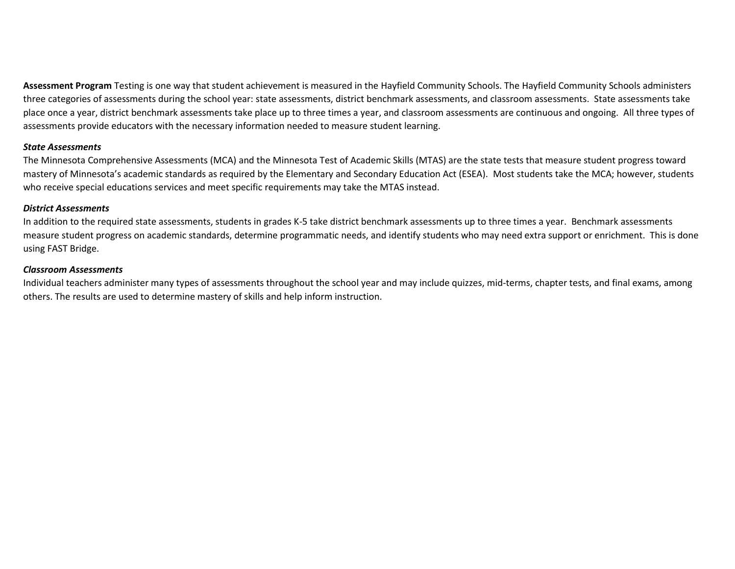**Assessment Program** Testing is one way that student achievement is measured in the Hayfield Community Schools. The Hayfield Community Schools administers three categories of assessments during the school year: state assessments, district benchmark assessments, and classroom assessments. State assessments take place once a year, district benchmark assessments take place up to three times a year, and classroom assessments are continuous and ongoing. All three types of assessments provide educators with the necessary information needed to measure student learning.

## *State Assessments*

The Minnesota Comprehensive Assessments (MCA) and the Minnesota Test of Academic Skills (MTAS) are the state tests that measure student progress toward mastery of Minnesota's academic standards as required by the Elementary and Secondary Education Act (ESEA). Most students take the MCA; however, students who receive special educations services and meet specific requirements may take the MTAS instead.

## *District Assessments*

In addition to the required state assessments, students in grades K-5 take district benchmark assessments up to three times a year. Benchmark assessments measure student progress on academic standards, determine programmatic needs, and identify students who may need extra support or enrichment. This is done using FAST Bridge.

## *Classroom Assessments*

Individual teachers administer many types of assessments throughout the school year and may include quizzes, mid-terms, chapter tests, and final exams, among others. The results are used to determine mastery of skills and help inform instruction.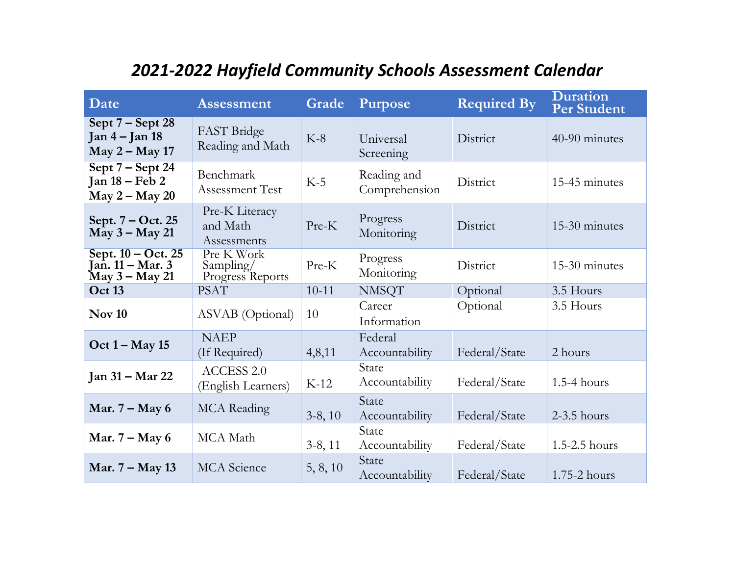| Date                                                           | <b>Assessment</b>                           | Grade     | <b>Purpose</b>               | <b>Required By</b> | <b>Duration</b><br><b>Per Student</b> |  |  |  |
|----------------------------------------------------------------|---------------------------------------------|-----------|------------------------------|--------------------|---------------------------------------|--|--|--|
| Sept $7 -$ Sept 28<br>$Jan 4 - Jan 18$<br>$May 2 - May 17$     | FAST Bridge<br>Reading and Math             | $K-8$     | Universal<br>Screening       | District           | 40-90 minutes                         |  |  |  |
| Sept $7 -$ Sept 24<br>Jan 18 – Feb 2<br>$May 2 - May 20$       | Benchmark<br><b>Assessment Test</b>         | $K-5$     | Reading and<br>Comprehension | District           | 15-45 minutes                         |  |  |  |
| Sept. 7 – Oct. 25<br>$\overline{\text{May 3}} - \text{May 21}$ | Pre-K Literacy<br>and Math<br>Assessments   | Pre-K     | Progress<br>Monitoring       | District           | 15-30 minutes                         |  |  |  |
| Sept. 10 - Oct. 25<br>Jan. 11 – Mar. 3<br>May 3 – May 21       | Pre K Work<br>Sampling/<br>Progress Reports | Pre-K     | Progress<br>Monitoring       | District           | 15-30 minutes                         |  |  |  |
| <b>Oct 13</b>                                                  | <b>PSAT</b>                                 | $10-11$   | <b>NMSQT</b>                 | Optional           | 3.5 Hours                             |  |  |  |
| <b>Nov 10</b>                                                  | ASVAB (Optional)                            | 10        | Career<br>Information        | Optional           | 3.5 Hours                             |  |  |  |
| $Oct 1 - May 15$                                               | <b>NAEP</b><br>(If Required)                | 4,8,11    | Federal<br>Accountability    | Federal/State      | 2 hours                               |  |  |  |
| <b>Jan 31 – Mar 22</b>                                         | <b>ACCESS 2.0</b><br>(English Learners)     | $K-12$    | State<br>Accountability      | Federal/State      | $1.5-4$ hours                         |  |  |  |
| Mar. $7 - May 6$                                               | <b>MCA</b> Reading                          | $3-8, 10$ | State<br>Accountability      | Federal/State      | $2-3.5$ hours                         |  |  |  |
| Mar. $7 - May 6$                                               | MCA Math                                    | $3-8, 11$ | State<br>Accountability      | Federal/State      | 1.5-2.5 hours                         |  |  |  |
| Mar. 7 – May 13                                                | <b>MCA</b> Science                          | 5, 8, 10  | State<br>Accountability      | Federal/State      | 1.75-2 hours                          |  |  |  |

## *2021-2022 Hayfield Community Schools Assessment Calendar*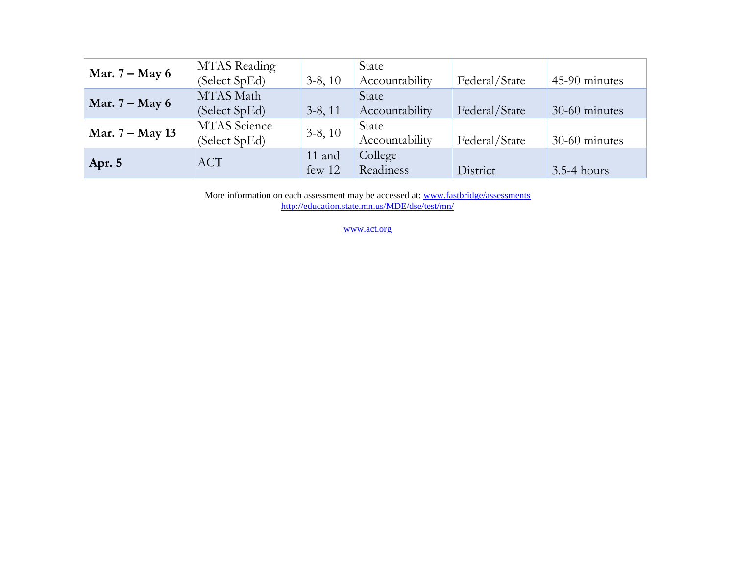|                  | MTAS Reading        |           | State          |               |               |  |  |
|------------------|---------------------|-----------|----------------|---------------|---------------|--|--|
| Mar. $7 - May 6$ | (Select SpEd)       | $3-8, 10$ | Accountability | Federal/State | 45-90 minutes |  |  |
|                  | MTAS Math           |           | State          |               |               |  |  |
| Mar. $7 - May 6$ | (Select SpEd)       | $3-8, 11$ | Accountability | Federal/State | 30-60 minutes |  |  |
|                  | <b>MTAS</b> Science | $3-8, 10$ | State          |               |               |  |  |
| Mar. 7 – May 13  | (Select SpEd)       |           | Accountability | Federal/State | 30-60 minutes |  |  |
| Apr. 5           | <b>ACT</b>          | 11 and    | College        |               |               |  |  |
|                  |                     | few 12    | Readiness      | District      | $3.5-4$ hours |  |  |

More information on each assessment may be accessed at: www.fastbridge/assessments <http://education.state.mn.us/MDE/dse/test/mn/>

[www.act.org](http://www.act.org/)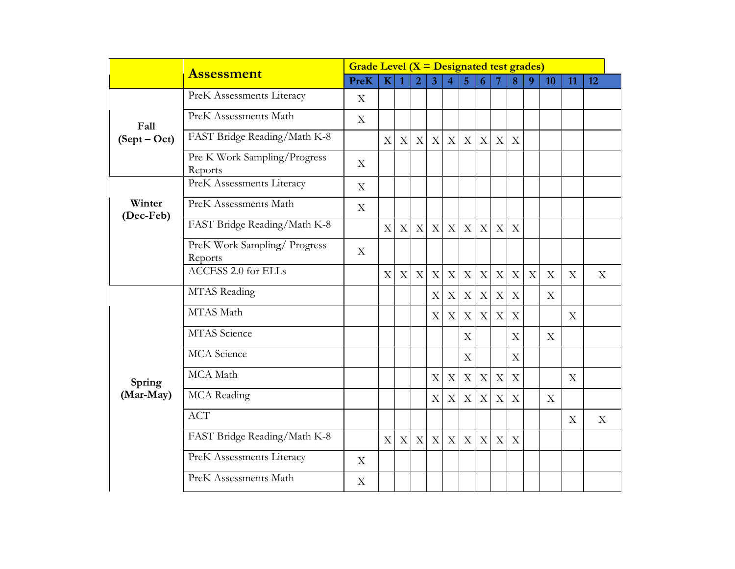|                     | <b>Assessment</b>                       |             | Grade Level $(X = Designated test grades)$ |                           |                |                |                           |                           |                           |             |                           |   |             |                           |             |
|---------------------|-----------------------------------------|-------------|--------------------------------------------|---------------------------|----------------|----------------|---------------------------|---------------------------|---------------------------|-------------|---------------------------|---|-------------|---------------------------|-------------|
|                     |                                         | <b>PreK</b> | $\mathbf K$                                | $\overline{1}$            | $\overline{2}$ | $\overline{3}$ | $\overline{4}$            | $\overline{5}$            | 6                         | 7           | 8                         | 9 | 10          | 11                        | 12          |
|                     | PreK Assessments Literacy               | X           |                                            |                           |                |                |                           |                           |                           |             |                           |   |             |                           |             |
| Fall                | PreK Assessments Math                   | X           |                                            |                           |                |                |                           |                           |                           |             |                           |   |             |                           |             |
| $(Sept-Oct)$        | FAST Bridge Reading/Math K-8            |             | X                                          | $\mathbf X$               | $\mathbf X$    | $\mathbf X$    | X                         | $\mathbf{X}$              | $\mathbf X$               | $\mathbf X$ | $\boldsymbol{\mathrm{X}}$ |   |             |                           |             |
|                     | Pre K Work Sampling/Progress<br>Reports | X           |                                            |                           |                |                |                           |                           |                           |             |                           |   |             |                           |             |
|                     | PreK Assessments Literacy               | $\mathbf X$ |                                            |                           |                |                |                           |                           |                           |             |                           |   |             |                           |             |
| Winter<br>(Dec-Feb) | PreK Assessments Math                   | $\mathbf X$ |                                            |                           |                |                |                           |                           |                           |             |                           |   |             |                           |             |
|                     | FAST Bridge Reading/Math K-8            |             | X                                          | X                         | $\mathbf X$    | X              | X                         | X                         | $\mathbf X$               | $\mathbf X$ | $\boldsymbol{\mathrm{X}}$ |   |             |                           |             |
|                     | PreK Work Sampling/ Progress<br>Reports | X           |                                            |                           |                |                |                           |                           |                           |             |                           |   |             |                           |             |
|                     | <b>ACCESS 2.0 for ELLs</b>              |             | X                                          | $\boldsymbol{\mathrm{X}}$ | $\mathbf X$    | X              | $\boldsymbol{\mathrm{X}}$ | X                         | $\boldsymbol{\mathrm{X}}$ | $\mathbf X$ | X                         | X | $\mathbf X$ | X                         | X           |
|                     | MTAS Reading                            |             |                                            |                           |                | X              | X                         | X                         | $\boldsymbol{\mathrm{X}}$ | $\mathbf X$ | $\mathbf X$               |   | X           |                           |             |
|                     | MTAS Math                               |             |                                            |                           |                | X              | $\boldsymbol{\mathrm{X}}$ | $\mathbf X$               | $\mathbf X$               | $\mathbf X$ | X                         |   |             | X                         |             |
|                     | <b>MTAS</b> Science                     |             |                                            |                           |                |                |                           | $\mathbf X$               |                           |             | X                         |   | X           |                           |             |
|                     | <b>MCA</b> Science                      |             |                                            |                           |                |                |                           | $\boldsymbol{\mathrm{X}}$ |                           |             | X                         |   |             |                           |             |
| Spring              | MCA Math                                |             |                                            |                           |                | X              | X                         | X                         | $\mathbf X$               | $\mathbf X$ | X                         |   |             | X                         |             |
| (Mar-May)           | <b>MCA</b> Reading                      |             |                                            |                           |                | X              | $\boldsymbol{\mathrm{X}}$ | X                         | $\boldsymbol{\mathrm{X}}$ | $\mathbf X$ | $\mathbf X$               |   | X           |                           |             |
|                     | <b>ACT</b>                              |             |                                            |                           |                |                |                           |                           |                           |             |                           |   |             | $\boldsymbol{\mathrm{X}}$ | $\mathbf X$ |
|                     | FAST Bridge Reading/Math K-8            |             | $\boldsymbol{\mathrm{X}}$                  | $\mathbf X$               | $\mathbf X$    | $\mathbf X$    | $\mathbf X$               | X                         | $\boldsymbol{\mathrm{X}}$ | $\mathbf X$ | $\mathbf X$               |   |             |                           |             |
|                     | PreK Assessments Literacy               | X           |                                            |                           |                |                |                           |                           |                           |             |                           |   |             |                           |             |
|                     | PreK Assessments Math                   | X           |                                            |                           |                |                |                           |                           |                           |             |                           |   |             |                           |             |